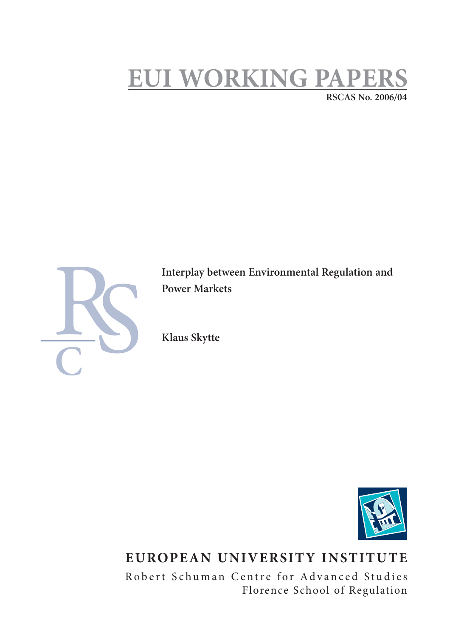# **EUI WORKING PAPERS RSCAS No. 2006/04**



**Interplay between Environmental Regulation and Power Markets** 

**Klaus Skytte**



## **EUROPEAN UNIVERSITY INSTITUTE**

Robert Schuman Centre for Advanced Studies Florence School of Regulation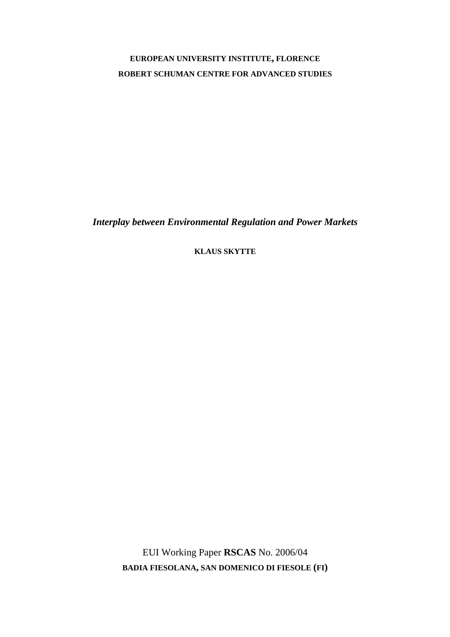## **EUROPEAN UNIVERSITY INSTITUTE, FLORENCE ROBERT SCHUMAN CENTRE FOR ADVANCED STUDIES**

*Interplay between Environmental Regulation and Power Markets* 

**KLAUS SKYTTE**

EUI Working Paper **RSCAS** No. 2006/04 **BADIA FIESOLANA, SAN DOMENICO DI FIESOLE (FI)**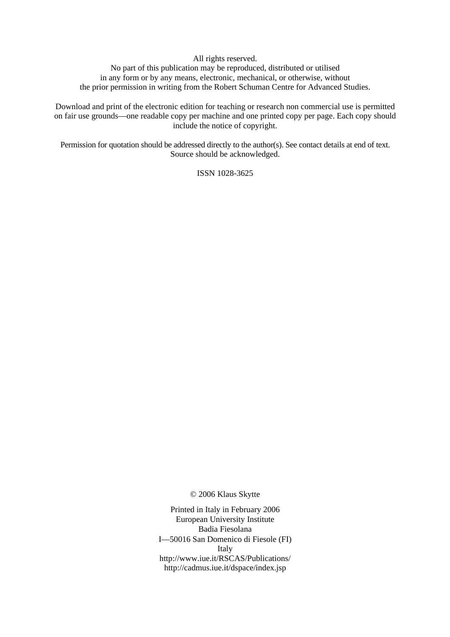All rights reserved.

No part of this publication may be reproduced, distributed or utilised in any form or by any means, electronic, mechanical, or otherwise, without the prior permission in writing from the Robert Schuman Centre for Advanced Studies.

Download and print of the electronic edition for teaching or research non commercial use is permitted on fair use grounds—one readable copy per machine and one printed copy per page. Each copy should include the notice of copyright.

Permission for quotation should be addressed directly to the author(s). See contact details at end of text. Source should be acknowledged.

ISSN 1028-3625

© 2006 Klaus Skytte

Printed in Italy in February 2006 European University Institute Badia Fiesolana I—50016 San Domenico di Fiesole (FI) Italy http://www.iue.it/RSCAS/Publications/ http://cadmus.iue.it/dspace/index.jsp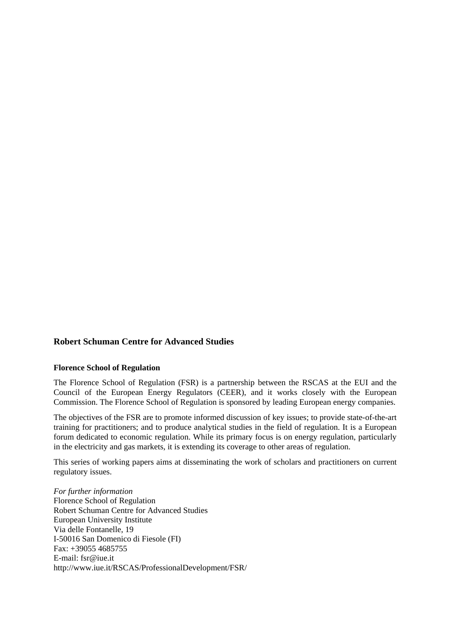## **Robert Schuman Centre for Advanced Studies**

## **Florence School of Regulation**

The Florence School of Regulation (FSR) is a partnership between the RSCAS at the EUI and the Council of the European Energy Regulators (CEER), and it works closely with the European Commission. The Florence School of Regulation is sponsored by leading European energy companies.

The objectives of the FSR are to promote informed discussion of key issues; to provide state-of-the-art training for practitioners; and to produce analytical studies in the field of regulation. It is a European forum dedicated to economic regulation. While its primary focus is on energy regulation, particularly in the electricity and gas markets, it is extending its coverage to other areas of regulation.

This series of working papers aims at disseminating the work of scholars and practitioners on current regulatory issues.

*For further information*  Florence School of Regulation Robert Schuman Centre for Advanced Studies European University Institute Via delle Fontanelle, 19 I-50016 San Domenico di Fiesole (FI) Fax: +39055 4685755 E-mail: fsr@iue.it http://www.iue.it/RSCAS/ProfessionalDevelopment/FSR/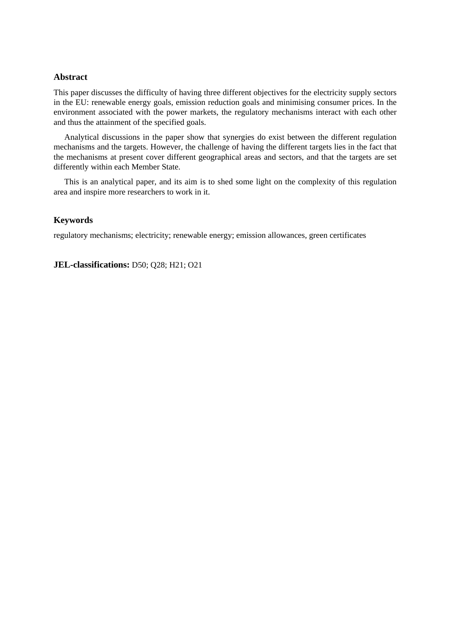## **Abstract**

This paper discusses the difficulty of having three different objectives for the electricity supply sectors in the EU: renewable energy goals, emission reduction goals and minimising consumer prices. In the environment associated with the power markets, the regulatory mechanisms interact with each other and thus the attainment of the specified goals.

Analytical discussions in the paper show that synergies do exist between the different regulation mechanisms and the targets. However, the challenge of having the different targets lies in the fact that the mechanisms at present cover different geographical areas and sectors, and that the targets are set differently within each Member State.

This is an analytical paper, and its aim is to shed some light on the complexity of this regulation area and inspire more researchers to work in it.

## **Keywords**

regulatory mechanisms; electricity; renewable energy; emission allowances, green certificates

**JEL-classifications:** D50; Q28; H21; O21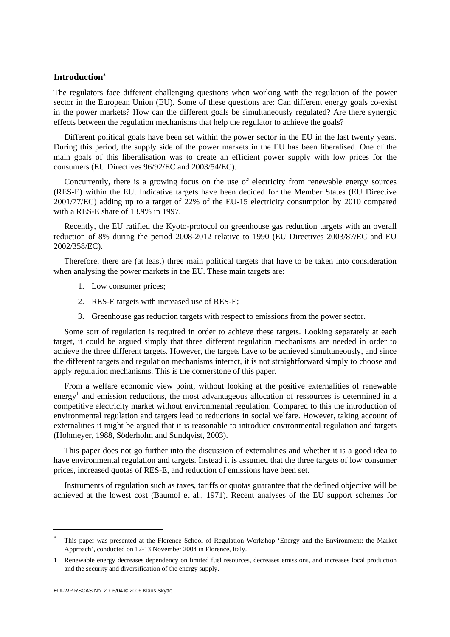## **Introduction**<sup>∗</sup>

The regulators face different challenging questions when working with the regulation of the power sector in the European Union (EU). Some of these questions are: Can different energy goals co-exist in the power markets? How can the different goals be simultaneously regulated? Are there synergic effects between the regulation mechanisms that help the regulator to achieve the goals?

Different political goals have been set within the power sector in the EU in the last twenty years. During this period, the supply side of the power markets in the EU has been liberalised. One of the main goals of this liberalisation was to create an efficient power supply with low prices for the consumers (EU Directives 96/92/EC and 2003/54/EC).

Concurrently, there is a growing focus on the use of electricity from renewable energy sources (RES-E) within the EU. Indicative targets have been decided for the Member States (EU Directive 2001/77/EC) adding up to a target of 22% of the EU-15 electricity consumption by 2010 compared with a RES-E share of 13.9% in 1997.

Recently, the EU ratified the Kyoto-protocol on greenhouse gas reduction targets with an overall reduction of 8% during the period 2008-2012 relative to 1990 (EU Directives 2003/87/EC and EU 2002/358/EC).

Therefore, there are (at least) three main political targets that have to be taken into consideration when analysing the power markets in the EU. These main targets are:

- 1. Low consumer prices;
- 2. RES-E targets with increased use of RES-E;
- 3. Greenhouse gas reduction targets with respect to emissions from the power sector.

Some sort of regulation is required in order to achieve these targets. Looking separately at each target, it could be argued simply that three different regulation mechanisms are needed in order to achieve the three different targets. However, the targets have to be achieved simultaneously, and since the different targets and regulation mechanisms interact, it is not straightforward simply to choose and apply regulation mechanisms. This is the cornerstone of this paper.

From a welfare economic view point, without looking at the positive externalities of renewable energy<sup>1</sup> and emission reductions, the most advantageous allocation of ressources is determined in a competitive electricity market without environmental regulation. Compared to this the introduction of environmental regulation and targets lead to reductions in social welfare. However, taking account of externalities it might be argued that it is reasonable to introduce environmental regulation and targets (Hohmeyer, 1988, Söderholm and Sundqvist, 2003).

This paper does not go further into the discussion of externalities and whether it is a good idea to have environmental regulation and targets. Instead it is assumed that the three targets of low consumer prices, increased quotas of RES-E, and reduction of emissions have been set.

Instruments of regulation such as taxes, tariffs or quotas guarantee that the defined objective will be achieved at the lowest cost (Baumol et al., 1971). Recent analyses of the EU support schemes for

 $\overline{a}$ 

<sup>∗</sup> This paper was presented at the Florence School of Regulation Workshop 'Energy and the Environment: the Market Approach', conducted on 12-13 November 2004 in Florence, Italy.

<sup>1</sup> Renewable energy decreases dependency on limited fuel resources, decreases emissions, and increases local production and the security and diversification of the energy supply.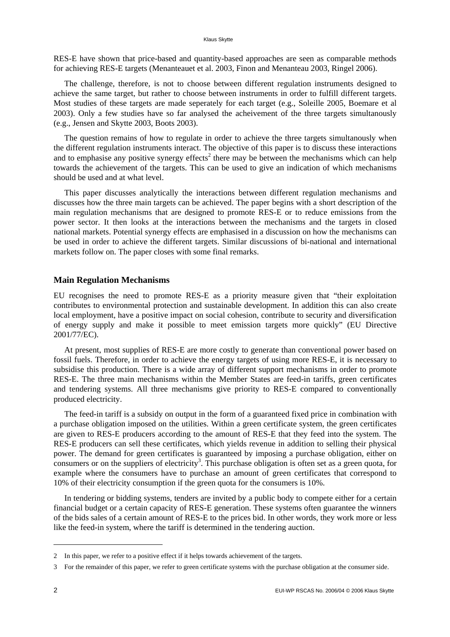#### Klaus Skytte

RES-E have shown that price-based and quantity-based approaches are seen as comparable methods for achieving RES-E targets (Menanteauet et al. 2003, Finon and Menanteau 2003, Ringel 2006).

The challenge, therefore, is not to choose between different regulation instruments designed to achieve the same target, but rather to choose between instruments in order to fulfill different targets. Most studies of these targets are made seperately for each target (e.g., Soleille 2005, Boemare et al 2003). Only a few studies have so far analysed the acheivement of the three targets simultanously (e.g., Jensen and Skytte 2003, Boots 2003).

The question remains of how to regulate in order to achieve the three targets simultanously when the different regulation instruments interact. The objective of this paper is to discuss these interactions and to emphasise any positive synergy effects<sup>2</sup> there may be between the mechanisms which can help towards the achievement of the targets. This can be used to give an indication of which mechanisms should be used and at what level.

This paper discusses analytically the interactions between different regulation mechanisms and discusses how the three main targets can be achieved. The paper begins with a short description of the main regulation mechanisms that are designed to promote RES-E or to reduce emissions from the power sector. It then looks at the interactions between the mechanisms and the targets in closed national markets. Potential synergy effects are emphasised in a discussion on how the mechanisms can be used in order to achieve the different targets. Similar discussions of bi-national and international markets follow on. The paper closes with some final remarks.

## **Main Regulation Mechanisms**

EU recognises the need to promote RES-E as a priority measure given that "their exploitation contributes to environmental protection and sustainable development. In addition this can also create local employment, have a positive impact on social cohesion, contribute to security and diversification of energy supply and make it possible to meet emission targets more quickly" (EU Directive 2001/77/EC).

At present, most supplies of RES-E are more costly to generate than conventional power based on fossil fuels. Therefore, in order to achieve the energy targets of using more RES-E, it is necessary to subsidise this production. There is a wide array of different support mechanisms in order to promote RES-E. The three main mechanisms within the Member States are feed-in tariffs, green certificates and tendering systems. All three mechanisms give priority to RES-E compared to conventionally produced electricity.

The feed-in tariff is a subsidy on output in the form of a guaranteed fixed price in combination with a purchase obligation imposed on the utilities. Within a green certificate system, the green certificates are given to RES-E producers according to the amount of RES-E that they feed into the system. The RES-E producers can sell these certificates, which yields revenue in addition to selling their physical power. The demand for green certificates is guaranteed by imposing a purchase obligation, either on consumers or on the suppliers of electricity<sup>3</sup>. This purchase obligation is often set as a green quota, for example where the consumers have to purchase an amount of green certificates that correspond to 10% of their electricity consumption if the green quota for the consumers is 10%.

In tendering or bidding systems, tenders are invited by a public body to compete either for a certain financial budget or a certain capacity of RES-E generation. These systems often guarantee the winners of the bids sales of a certain amount of RES-E to the prices bid. In other words, they work more or less like the feed-in system, where the tariff is determined in the tendering auction.

<sup>2</sup> In this paper, we refer to a positive effect if it helps towards achievement of the targets.

<sup>3</sup> For the remainder of this paper, we refer to green certificate systems with the purchase obligation at the consumer side.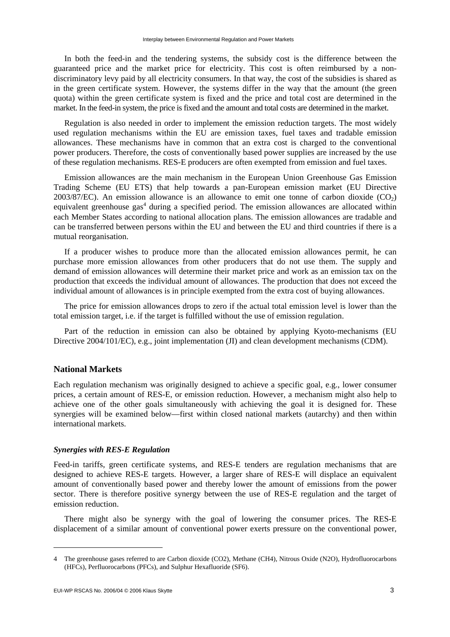In both the feed-in and the tendering systems, the subsidy cost is the difference between the guaranteed price and the market price for electricity. This cost is often reimbursed by a nondiscriminatory levy paid by all electricity consumers. In that way, the cost of the subsidies is shared as in the green certificate system. However, the systems differ in the way that the amount (the green quota) within the green certificate system is fixed and the price and total cost are determined in the market. In the feed-in system, the price is fixed and the amount and total costs are determined in the market.

Regulation is also needed in order to implement the emission reduction targets. The most widely used regulation mechanisms within the EU are emission taxes, fuel taxes and tradable emission allowances. These mechanisms have in common that an extra cost is charged to the conventional power producers. Therefore, the costs of conventionally based power supplies are increased by the use of these regulation mechanisms. RES-E producers are often exempted from emission and fuel taxes.

Emission allowances are the main mechanism in the European Union Greenhouse Gas Emission Trading Scheme (EU ETS) that help towards a pan-European emission market (EU Directive 2003/87/EC). An emission allowance is an allowance to emit one tonne of carbon dioxide  $(CO<sub>2</sub>)$ equivalent greenhouse gas<sup>4</sup> during a specified period. The emission allowances are allocated within each Member States according to national allocation plans. The emission allowances are tradable and can be transferred between persons within the EU and between the EU and third countries if there is a mutual reorganisation.

If a producer wishes to produce more than the allocated emission allowances permit, he can purchase more emission allowances from other producers that do not use them. The supply and demand of emission allowances will determine their market price and work as an emission tax on the production that exceeds the individual amount of allowances. The production that does not exceed the individual amount of allowances is in principle exempted from the extra cost of buying allowances.

The price for emission allowances drops to zero if the actual total emission level is lower than the total emission target, i.e. if the target is fulfilled without the use of emission regulation.

Part of the reduction in emission can also be obtained by applying Kyoto-mechanisms (EU Directive 2004/101/EC), e.g., joint implementation (JI) and clean development mechanisms (CDM).

## **National Markets**

Each regulation mechanism was originally designed to achieve a specific goal, e.g., lower consumer prices, a certain amount of RES-E, or emission reduction. However, a mechanism might also help to achieve one of the other goals simultaneously with achieving the goal it is designed for. These synergies will be examined below—first within closed national markets (autarchy) and then within international markets.

## *Synergies with RES-E Regulation*

Feed-in tariffs, green certificate systems, and RES-E tenders are regulation mechanisms that are designed to achieve RES-E targets. However, a larger share of RES-E will displace an equivalent amount of conventionally based power and thereby lower the amount of emissions from the power sector. There is therefore positive synergy between the use of RES-E regulation and the target of emission reduction.

There might also be synergy with the goal of lowering the consumer prices. The RES-E displacement of a similar amount of conventional power exerts pressure on the conventional power,

 $\overline{a}$ 

<sup>4</sup> The greenhouse gases referred to are Carbon dioxide (CO2), Methane (CH4), Nitrous Oxide (N2O), Hydrofluorocarbons (HFCs), Perfluorocarbons (PFCs), and Sulphur Hexafluoride (SF6).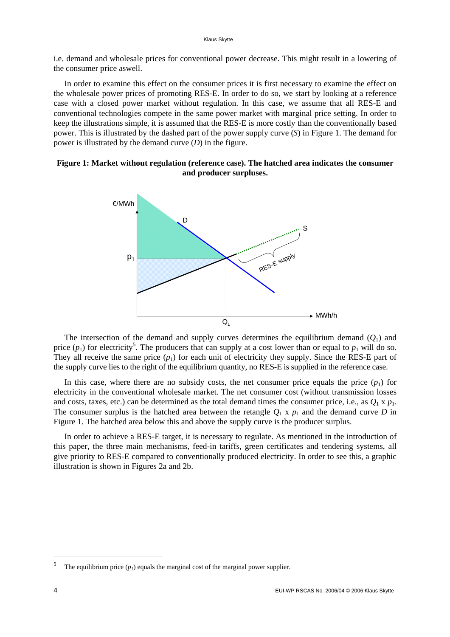i.e. demand and wholesale prices for conventional power decrease. This might result in a lowering of the consumer price aswell.

In order to examine this effect on the consumer prices it is first necessary to examine the effect on the wholesale power prices of promoting RES-E. In order to do so, we start by looking at a reference case with a closed power market without regulation. In this case, we assume that all RES-E and conventional technologies compete in the same power market with marginal price setting. In order to keep the illustrations simple, it is assumed that the RES-E is more costly than the conventionally based power. This is illustrated by the dashed part of the power supply curve (*S*) in Figure 1. The demand for power is illustrated by the demand curve (*D*) in the figure.





The intersection of the demand and supply curves determines the equilibrium demand  $(Q_1)$  and price  $(p_1)$  for electricity<sup>5</sup>. The producers that can supply at a cost lower than or equal to  $p_1$  will do so. They all receive the same price  $(p_1)$  for each unit of electricity they supply. Since the RES-E part of the supply curve lies to the right of the equilibrium quantity, no RES-E is supplied in the reference case.

In this case, where there are no subsidy costs, the net consumer price equals the price  $(p_1)$  for electricity in the conventional wholesale market. The net consumer cost (without transmission losses and costs, taxes, etc.) can be determined as the total demand times the consumer price, i.e., as  $Q_1 \times p_1$ . The consumer surplus is the hatched area between the retangle  $Q_1 \times p_1$  and the demand curve *D* in Figure 1. The hatched area below this and above the supply curve is the producer surplus.

In order to achieve a RES-E target, it is necessary to regulate. As mentioned in the introduction of this paper, the three main mechanisms, feed-in tariffs, green certificates and tendering systems, all give priority to RES-E compared to conventionally produced electricity. In order to see this, a graphic illustration is shown in Figures 2a and 2b.

<sup>5</sup> The equilibrium price  $(p_l)$  equals the marginal cost of the marginal power supplier.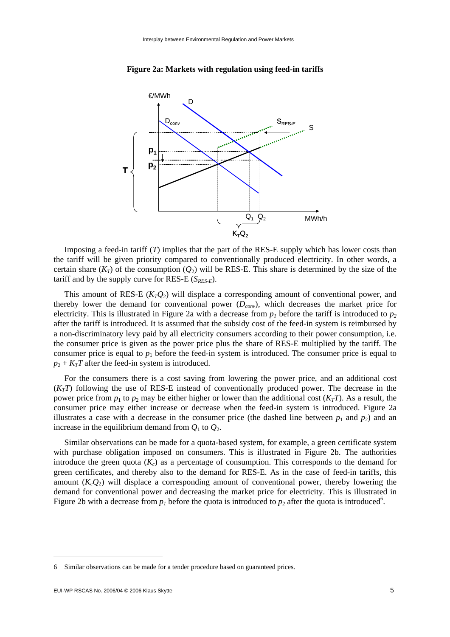

**Figure 2a: Markets with regulation using feed-in tariffs** 

Imposing a feed-in tariff (*T*) implies that the part of the RES-E supply which has lower costs than the tariff will be given priority compared to conventionally produced electricity. In other words, a certain share  $(K_T)$  of the consumption  $(O_2)$  will be RES-E. This share is determined by the size of the tariff and by the supply curve for RES-E  $(S_{RES-E})$ .

This amount of RES-E  $(K_TQ_2)$  will displace a corresponding amount of conventional power, and thereby lower the demand for conventional power  $(D_{conv})$ , which decreases the market price for electricity. This is illustrated in Figure 2a with a decrease from  $p<sub>1</sub>$  before the tariff is introduced to  $p<sub>2</sub>$ after the tariff is introduced. It is assumed that the subsidy cost of the feed-in system is reimbursed by a non-discriminatory levy paid by all electricity consumers according to their power consumption, i.e. the consumer price is given as the power price plus the share of RES-E multiplied by the tariff. The consumer price is equal to  $p_1$  before the feed-in system is introduced. The consumer price is equal to  $p_2 + K_T T$  after the feed-in system is introduced.

For the consumers there is a cost saving from lowering the power price, and an additional cost  $(K<sub>T</sub>T)$  following the use of RES-E instead of conventionally produced power. The decrease in the power price from  $p_1$  to  $p_2$  may be either higher or lower than the additional cost  $(K_TT)$ . As a result, the consumer price may either increase or decrease when the feed-in system is introduced. Figure 2a illustrates a case with a decrease in the consumer price (the dashed line between  $p_1$  and  $p_2$ ) and an increase in the equilibrium demand from  $Q_1$  to  $Q_2$ .

Similar observations can be made for a quota-based system, for example, a green certificate system with purchase obligation imposed on consumers. This is illustrated in Figure 2b. The authorities introduce the green quota  $(K<sub>c</sub>)$  as a percentage of consumption. This corresponds to the demand for green certificates, and thereby also to the demand for RES-E. As in the case of feed-in tariffs, this amount  $(K_cQ_2)$  will displace a corresponding amount of conventional power, thereby lowering the demand for conventional power and decreasing the market price for electricity. This is illustrated in Figure 2b with a decrease from  $p_1$  before the quota is introduced to  $p_2$  after the quota is introduced<sup>6</sup>.

<sup>6</sup> Similar observations can be made for a tender procedure based on guaranteed prices.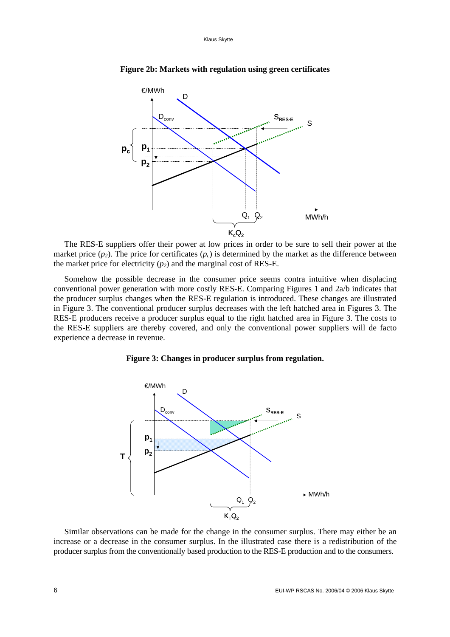

**Figure 2b: Markets with regulation using green certificates** 

The RES-E suppliers offer their power at low prices in order to be sure to sell their power at the market price  $(p_2)$ . The price for certificates  $(p_c)$  is determined by the market as the difference between the market price for electricity  $(p_2)$  and the marginal cost of RES-E.

Somehow the possible decrease in the consumer price seems contra intuitive when displacing conventional power generation with more costly RES-E. Comparing Figures 1 and 2a/b indicates that the producer surplus changes when the RES-E regulation is introduced. These changes are illustrated in Figure 3. The conventional producer surplus decreases with the left hatched area in Figures 3. The RES-E producers receive a producer surplus equal to the right hatched area in Figure 3. The costs to the RES-E suppliers are thereby covered, and only the conventional power suppliers will de facto experience a decrease in revenue.





Similar observations can be made for the change in the consumer surplus. There may either be an increase or a decrease in the consumer surplus. In the illustrated case there is a redistribution of the producer surplus from the conventionally based production to the RES-E production and to the consumers.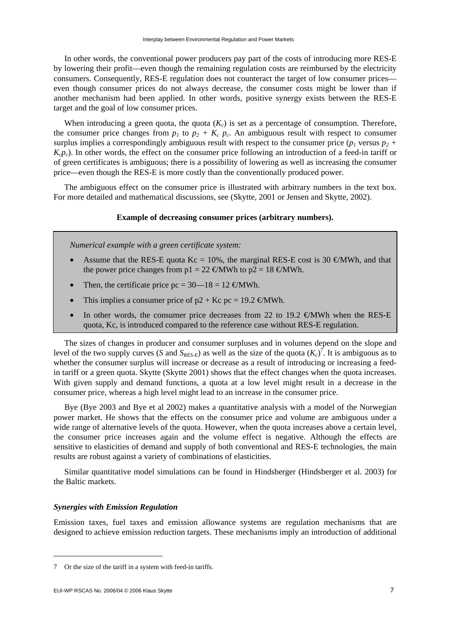In other words, the conventional power producers pay part of the costs of introducing more RES-E by lowering their profit—even though the remaining regulation costs are reimbursed by the electricity consumers. Consequently, RES-E regulation does not counteract the target of low consumer prices even though consumer prices do not always decrease, the consumer costs might be lower than if another mechanism had been applied. In other words, positive synergy exists between the RES-E target and the goal of low consumer prices.

When introducing a green quota, the quota  $(K<sub>c</sub>)$  is set as a percentage of consumption. Therefore, the consumer price changes from  $p_1$  to  $p_2 + K_c p_c$ . An ambiguous result with respect to consumer surplus implies a correspondingly ambiguous result with respect to the consumer price  $(p_1$  versus  $p_2$  + *K<sub>c</sub>p<sub>c</sub>*). In other words, the effect on the consumer price following an introduction of a feed-in tariff or of green certificates is ambiguous; there is a possibility of lowering as well as increasing the consumer price—even though the RES-E is more costly than the conventionally produced power.

The ambiguous effect on the consumer price is illustrated with arbitrary numbers in the text box. For more detailed and mathematical discussions, see (Skytte, 2001 or Jensen and Skytte, 2002).

## **Example of decreasing consumer prices (arbitrary numbers).**

*Numerical example with a green certificate system:* 

- Assume that the RES-E quota Kc = 10%, the marginal RES-E cost is 30  $\epsilon$ MWh, and that the power price changes from  $p1 = 22$  €MWh to  $p2 = 18$  €MWh.
- Then, the certificate price  $pc = 30 18 = 12$  €MWh.
- This implies a consumer price of  $p2 + Kc$  pc = 19.2  $\epsilon$ MWh.
- In other words, the consumer price decreases from 22 to 19.2  $\epsilon$ MWh when the RES-E quota, Kc, is introduced compared to the reference case without RES-E regulation.

The sizes of changes in producer and consumer surpluses and in volumes depend on the slope and level of the two supply curves (*S* and  $S_{RES-E}$ ) as well as the size of the quota  $(K_c)^7$ . It is ambiguous as to whether the consumer surplus will increase or decrease as a result of introducing or increasing a feedin tariff or a green quota. Skytte (Skytte 2001) shows that the effect changes when the quota increases. With given supply and demand functions, a quota at a low level might result in a decrease in the consumer price, whereas a high level might lead to an increase in the consumer price.

Bye (Bye 2003 and Bye et al 2002) makes a quantitative analysis with a model of the Norwegian power market. He shows that the effects on the consumer price and volume are ambiguous under a wide range of alternative levels of the quota. However, when the quota increases above a certain level, the consumer price increases again and the volume effect is negative. Although the effects are sensitive to elasticities of demand and supply of both conventional and RES-E technologies, the main results are robust against a variety of combinations of elasticities.

Similar quantitative model simulations can be found in Hindsberger (Hindsberger et al. 2003) for the Baltic markets.

## *Synergies with Emission Regulation*

Emission taxes, fuel taxes and emission allowance systems are regulation mechanisms that are designed to achieve emission reduction targets. These mechanisms imply an introduction of additional

<sup>7</sup> Or the size of the tariff in a system with feed-in tariffs.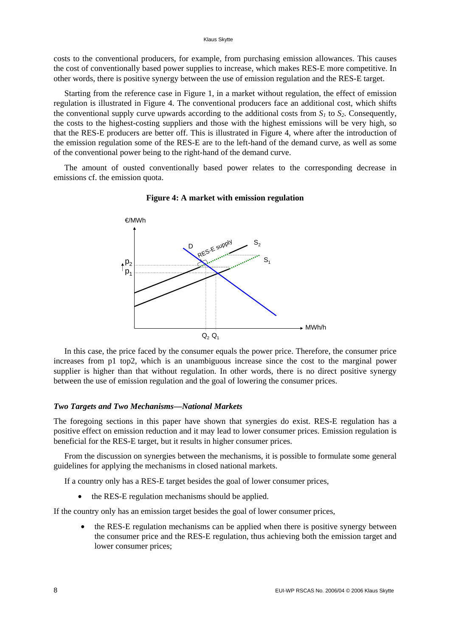#### Klaus Skytte

costs to the conventional producers, for example, from purchasing emission allowances. This causes the cost of conventionally based power supplies to increase, which makes RES-E more competitive. In other words, there is positive synergy between the use of emission regulation and the RES-E target.

Starting from the reference case in Figure 1, in a market without regulation, the effect of emission regulation is illustrated in Figure 4. The conventional producers face an additional cost, which shifts the conventional supply curve upwards according to the additional costs from  $S<sub>1</sub>$  to  $S<sub>2</sub>$ . Consequently, the costs to the highest-costing suppliers and those with the highest emissions will be very high, so that the RES-E producers are better off. This is illustrated in Figure 4, where after the introduction of the emission regulation some of the RES-E are to the left-hand of the demand curve, as well as some of the conventional power being to the right-hand of the demand curve.

The amount of ousted conventionally based power relates to the corresponding decrease in emissions cf. the emission quota.



### **Figure 4: A market with emission regulation**

In this case, the price faced by the consumer equals the power price. Therefore, the consumer price increases from p1 top2, which is an unambiguous increase since the cost to the marginal power supplier is higher than that without regulation. In other words, there is no direct positive synergy between the use of emission regulation and the goal of lowering the consumer prices.

#### *Two Targets and Two Mechanisms—National Markets*

The foregoing sections in this paper have shown that synergies do exist. RES-E regulation has a positive effect on emission reduction and it may lead to lower consumer prices. Emission regulation is beneficial for the RES-E target, but it results in higher consumer prices.

From the discussion on synergies between the mechanisms, it is possible to formulate some general guidelines for applying the mechanisms in closed national markets.

If a country only has a RES-E target besides the goal of lower consumer prices,

• the RES-E regulation mechanisms should be applied.

If the country only has an emission target besides the goal of lower consumer prices,

• the RES-E regulation mechanisms can be applied when there is positive synergy between the consumer price and the RES-E regulation, thus achieving both the emission target and lower consumer prices;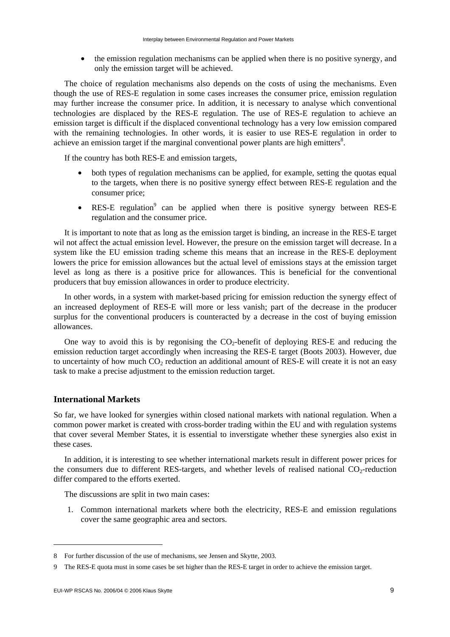• the emission regulation mechanisms can be applied when there is no positive synergy, and only the emission target will be achieved.

The choice of regulation mechanisms also depends on the costs of using the mechanisms. Even though the use of RES-E regulation in some cases increases the consumer price, emission regulation may further increase the consumer price. In addition, it is necessary to analyse which conventional technologies are displaced by the RES-E regulation. The use of RES-E regulation to achieve an emission target is difficult if the displaced conventional technology has a very low emission compared with the remaining technologies. In other words, it is easier to use RES-E regulation in order to achieve an emission target if the marginal conventional power plants are high emitters $8$ .

If the country has both RES-E and emission targets,

- both types of regulation mechanisms can be applied, for example, setting the quotas equal to the targets, when there is no positive synergy effect between RES-E regulation and the consumer price;
- RES-E regulation<sup>9</sup> can be applied when there is positive synergy between RES-E regulation and the consumer price.

It is important to note that as long as the emission target is binding, an increase in the RES-E target wil not affect the actual emission level. However, the presure on the emission target will decrease. In a system like the EU emission trading scheme this means that an increase in the RES-E deployment lowers the price for emission allowances but the actual level of emissions stays at the emission target level as long as there is a positive price for allowances. This is beneficial for the conventional producers that buy emission allowances in order to produce electricity.

In other words, in a system with market-based pricing for emission reduction the synergy effect of an increased deployment of RES-E will more or less vanish; part of the decrease in the producer surplus for the conventional producers is counteracted by a decrease in the cost of buying emission allowances.

One way to avoid this is by regonising the  $CO<sub>2</sub>$ -benefit of deploying RES-E and reducing the emission reduction target accordingly when increasing the RES-E target (Boots 2003). However, due to uncertainty of how much  $CO<sub>2</sub>$  reduction an additional amount of RES-E will create it is not an easy task to make a precise adjustment to the emission reduction target.

## **International Markets**

So far, we have looked for synergies within closed national markets with national regulation. When a common power market is created with cross-border trading within the EU and with regulation systems that cover several Member States, it is essential to inverstigate whether these synergies also exist in these cases.

In addition, it is interesting to see whether international markets result in different power prices for the consumers due to different RES-targets, and whether levels of realised national  $CO_2$ -reduction differ compared to the efforts exerted.

The discussions are split in two main cases:

1. Common international markets where both the electricity, RES-E and emission regulations cover the same geographic area and sectors.

<sup>8</sup> For further discussion of the use of mechanisms, see Jensen and Skytte, 2003.

<sup>9</sup> The RES-E quota must in some cases be set higher than the RES-E target in order to achieve the emission target.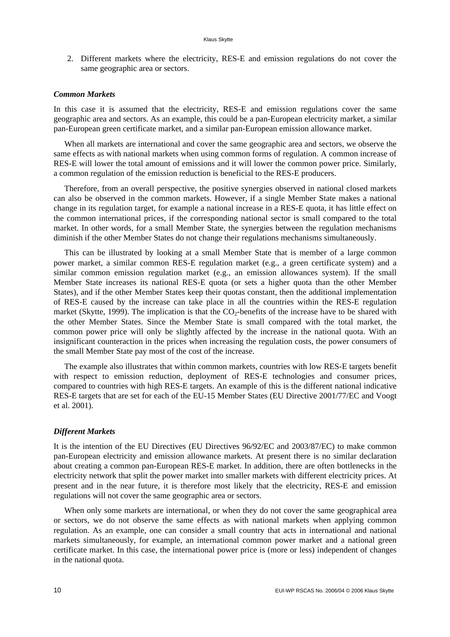2. Different markets where the electricity, RES-E and emission regulations do not cover the same geographic area or sectors.

## *Common Markets*

In this case it is assumed that the electricity, RES-E and emission regulations cover the same geographic area and sectors. As an example, this could be a pan-European electricity market, a similar pan-European green certificate market, and a similar pan-European emission allowance market.

When all markets are international and cover the same geographic area and sectors, we observe the same effects as with national markets when using common forms of regulation. A common increase of RES-E will lower the total amount of emissions and it will lower the common power price. Similarly, a common regulation of the emission reduction is beneficial to the RES-E producers.

Therefore, from an overall perspective, the positive synergies observed in national closed markets can also be observed in the common markets. However, if a single Member State makes a national change in its regulation target, for example a national increase in a RES-E quota, it has little effect on the common international prices, if the corresponding national sector is small compared to the total market. In other words, for a small Member State, the synergies between the regulation mechanisms diminish if the other Member States do not change their regulations mechanisms simultaneously.

This can be illustrated by looking at a small Member State that is member of a large common power market, a similar common RES-E regulation market (e.g., a green certificate system) and a similar common emission regulation market (e.g., an emission allowances system). If the small Member State increases its national RES-E quota (or sets a higher quota than the other Member States), and if the other Member States keep their quotas constant, then the additional implementation of RES-E caused by the increase can take place in all the countries within the RES-E regulation market (Skytte, 1999). The implication is that the  $CO<sub>2</sub>$ -benefits of the increase have to be shared with the other Member States. Since the Member State is small compared with the total market, the common power price will only be slightly affected by the increase in the national quota. With an insignificant counteraction in the prices when increasing the regulation costs, the power consumers of the small Member State pay most of the cost of the increase.

The example also illustrates that within common markets, countries with low RES-E targets benefit with respect to emission reduction, deployment of RES-E technologies and consumer prices, compared to countries with high RES-E targets. An example of this is the different national indicative RES-E targets that are set for each of the EU-15 Member States (EU Directive 2001/77/EC and Voogt et al. 2001).

### *Different Markets*

It is the intention of the EU Directives (EU Directives 96/92/EC and 2003/87/EC) to make common pan-European electricity and emission allowance markets. At present there is no similar declaration about creating a common pan-European RES-E market. In addition, there are often bottlenecks in the electricity network that split the power market into smaller markets with different electricity prices. At present and in the near future, it is therefore most likely that the electricity, RES-E and emission regulations will not cover the same geographic area or sectors.

When only some markets are international, or when they do not cover the same geographical area or sectors, we do not observe the same effects as with national markets when applying common regulation. As an example, one can consider a small country that acts in international and national markets simultaneously, for example, an international common power market and a national green certificate market. In this case, the international power price is (more or less) independent of changes in the national quota.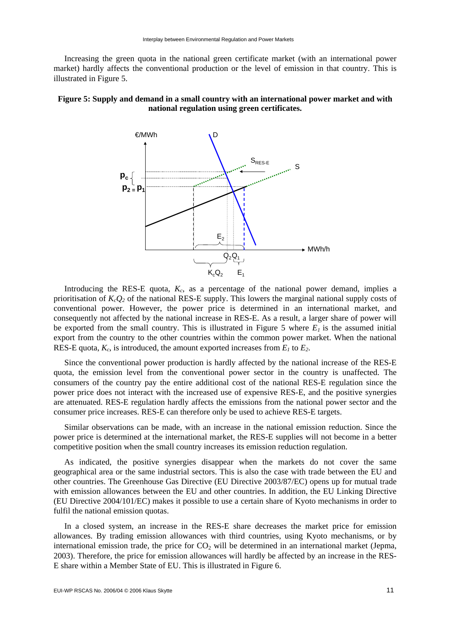Increasing the green quota in the national green certificate market (with an international power market) hardly affects the conventional production or the level of emission in that country. This is illustrated in Figure 5.

## **Figure 5: Supply and demand in a small country with an international power market and with national regulation using green certificates.**



Introducing the RES-E quota,  $K_c$ , as a percentage of the national power demand, implies a prioritisation of  $K_cQ_2$  of the national RES-E supply. This lowers the marginal national supply costs of conventional power. However, the power price is determined in an international market, and consequently not affected by the national increase in RES-E. As a result, a larger share of power will be exported from the small country. This is illustrated in Figure 5 where  $E_l$  is the assumed initial export from the country to the other countries within the common power market. When the national RES-E quota,  $K_c$ , is introduced, the amount exported increases from  $E_1$  to  $E_2$ .

Since the conventional power production is hardly affected by the national increase of the RES-E quota, the emission level from the conventional power sector in the country is unaffected. The consumers of the country pay the entire additional cost of the national RES-E regulation since the power price does not interact with the increased use of expensive RES-E, and the positive synergies are attenuated. RES-E regulation hardly affects the emissions from the national power sector and the consumer price increases. RES-E can therefore only be used to achieve RES-E targets.

Similar observations can be made, with an increase in the national emission reduction. Since the power price is determined at the international market, the RES-E supplies will not become in a better competitive position when the small country increases its emission reduction regulation.

As indicated, the positive synergies disappear when the markets do not cover the same geographical area or the same industrial sectors. This is also the case with trade between the EU and other countries. The Greenhouse Gas Directive (EU Directive 2003/87/EC) opens up for mutual trade with emission allowances between the EU and other countries. In addition, the EU Linking Directive (EU Directive 2004/101/EC) makes it possible to use a certain share of Kyoto mechanisms in order to fulfil the national emission quotas.

In a closed system, an increase in the RES-E share decreases the market price for emission allowances. By trading emission allowances with third countries, using Kyoto mechanisms, or by international emission trade, the price for  $CO<sub>2</sub>$  will be determined in an international market (Jepma, 2003). Therefore, the price for emission allowances will hardly be affected by an increase in the RES-E share within a Member State of EU. This is illustrated in Figure 6.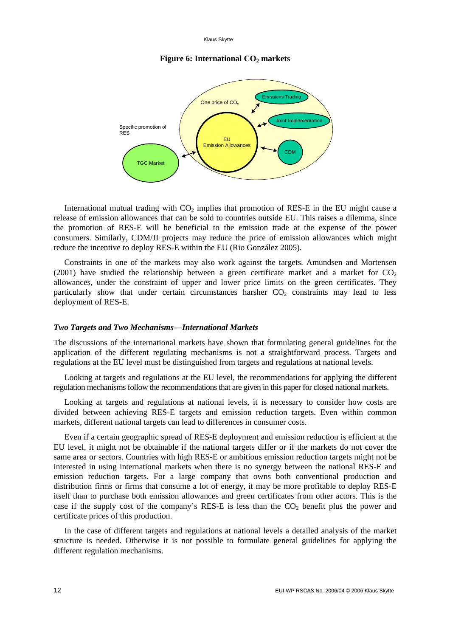Klaus Skytte

## **Figure 6: International CO<sub>2</sub> markets**



International mutual trading with  $CO<sub>2</sub>$  implies that promotion of RES-E in the EU might cause a release of emission allowances that can be sold to countries outside EU. This raises a dilemma, since the promotion of RES-E will be beneficial to the emission trade at the expense of the power consumers. Similarly, CDM/JI projects may reduce the price of emission allowances which might reduce the incentive to deploy RES-E within the EU (Rio González 2005).

Constraints in one of the markets may also work against the targets. Amundsen and Mortensen (2001) have studied the relationship between a green certificate market and a market for  $CO<sub>2</sub>$ allowances, under the constraint of upper and lower price limits on the green certificates. They particularly show that under certain circumstances harsher  $CO<sub>2</sub>$  constraints may lead to less deployment of RES-E.

## *Two Targets and Two Mechanisms—International Markets*

The discussions of the international markets have shown that formulating general guidelines for the application of the different regulating mechanisms is not a straightforward process. Targets and regulations at the EU level must be distinguished from targets and regulations at national levels.

Looking at targets and regulations at the EU level, the recommendations for applying the different regulation mechanisms follow the recommendations that are given in this paper for closed national markets.

Looking at targets and regulations at national levels, it is necessary to consider how costs are divided between achieving RES-E targets and emission reduction targets. Even within common markets, different national targets can lead to differences in consumer costs.

Even if a certain geographic spread of RES-E deployment and emission reduction is efficient at the EU level, it might not be obtainable if the national targets differ or if the markets do not cover the same area or sectors. Countries with high RES-E or ambitious emission reduction targets might not be interested in using international markets when there is no synergy between the national RES-E and emission reduction targets. For a large company that owns both conventional production and distribution firms or firms that consume a lot of energy, it may be more profitable to deploy RES-E itself than to purchase both emission allowances and green certificates from other actors. This is the case if the supply cost of the company's RES-E is less than the  $CO<sub>2</sub>$  benefit plus the power and certificate prices of this production.

In the case of different targets and regulations at national levels a detailed analysis of the market structure is needed. Otherwise it is not possible to formulate general guidelines for applying the different regulation mechanisms.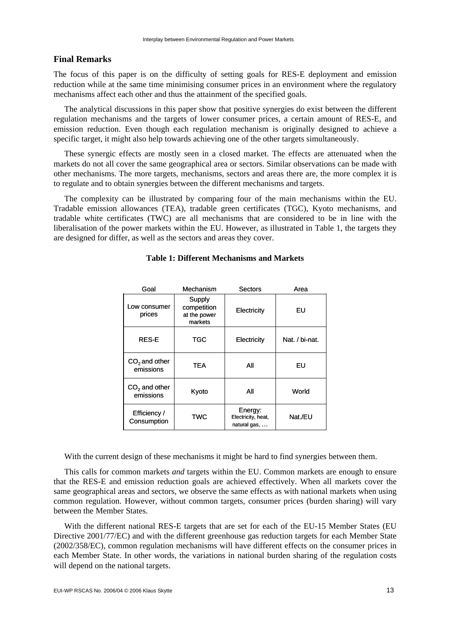## **Final Remarks**

The focus of this paper is on the difficulty of setting goals for RES-E deployment and emission reduction while at the same time minimising consumer prices in an environment where the regulatory mechanisms affect each other and thus the attainment of the specified goals.

The analytical discussions in this paper show that positive synergies do exist between the different regulation mechanisms and the targets of lower consumer prices, a certain amount of RES-E, and emission reduction. Even though each regulation mechanism is originally designed to achieve a specific target, it might also help towards achieving one of the other targets simultaneously.

These synergic effects are mostly seen in a closed market. The effects are attenuated when the markets do not all cover the same geographical area or sectors. Similar observations can be made with other mechanisms. The more targets, mechanisms, sectors and areas there are, the more complex it is to regulate and to obtain synergies between the different mechanisms and targets.

The complexity can be illustrated by comparing four of the main mechanisms within the EU. Tradable emission allowances (TEA), tradable green certificates (TGC), Kyoto mechanisms, and tradable white certificates (TWC) are all mechanisms that are considered to be in line with the liberalisation of the power markets within the EU. However, as illustrated in Table 1, the targets they are designed for differ, as well as the sectors and areas they cover.

| Goal                         | Mechanism                                        | Sectors                                       | Area           |
|------------------------------|--------------------------------------------------|-----------------------------------------------|----------------|
| Low consumer<br>prices       | Supply<br>competition<br>at the power<br>markets | Electricity                                   | EU             |
| <b>RES-E</b>                 | TGC                                              | Electricity                                   | Nat. / bi-nat. |
| $CO2$ and other<br>emissions | <b>TEA</b>                                       | All                                           | EU             |
| $CO2$ and other<br>emissions | Kyoto                                            | All                                           | World          |
| Efficiency /<br>Consumption  | TWC                                              | Energy:<br>Electricity, heat,<br>natural gas, | Nat./EU        |

## **Table 1: Different Mechanisms and Markets**

With the current design of these mechanisms it might be hard to find synergies between them.

This calls for common markets *and* targets within the EU. Common markets are enough to ensure that the RES-E and emission reduction goals are achieved effectively. When all markets cover the same geographical areas and sectors, we observe the same effects as with national markets when using common regulation. However, without common targets, consumer prices (burden sharing) will vary between the Member States.

With the different national RES-E targets that are set for each of the EU-15 Member States (EU Directive 2001/77/EC) and with the different greenhouse gas reduction targets for each Member State (2002/358/EC), common regulation mechanisms will have different effects on the consumer prices in each Member State. In other words, the variations in national burden sharing of the regulation costs will depend on the national targets.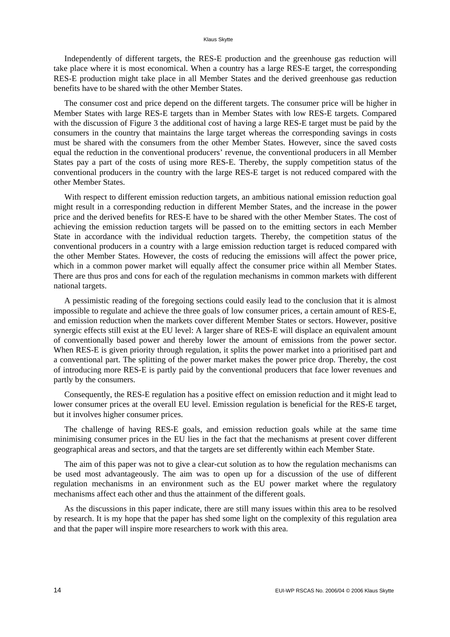Independently of different targets, the RES-E production and the greenhouse gas reduction will take place where it is most economical. When a country has a large RES-E target, the corresponding RES-E production might take place in all Member States and the derived greenhouse gas reduction benefits have to be shared with the other Member States.

The consumer cost and price depend on the different targets. The consumer price will be higher in Member States with large RES-E targets than in Member States with low RES-E targets. Compared with the discussion of Figure 3 the additional cost of having a large RES-E target must be paid by the consumers in the country that maintains the large target whereas the corresponding savings in costs must be shared with the consumers from the other Member States. However, since the saved costs equal the reduction in the conventional producers' revenue, the conventional producers in all Member States pay a part of the costs of using more RES-E. Thereby, the supply competition status of the conventional producers in the country with the large RES-E target is not reduced compared with the other Member States.

With respect to different emission reduction targets, an ambitious national emission reduction goal might result in a corresponding reduction in different Member States, and the increase in the power price and the derived benefits for RES-E have to be shared with the other Member States. The cost of achieving the emission reduction targets will be passed on to the emitting sectors in each Member State in accordance with the individual reduction targets. Thereby, the competition status of the conventional producers in a country with a large emission reduction target is reduced compared with the other Member States. However, the costs of reducing the emissions will affect the power price, which in a common power market will equally affect the consumer price within all Member States. There are thus pros and cons for each of the regulation mechanisms in common markets with different national targets.

A pessimistic reading of the foregoing sections could easily lead to the conclusion that it is almost impossible to regulate and achieve the three goals of low consumer prices, a certain amount of RES-E, and emission reduction when the markets cover different Member States or sectors. However, positive synergic effects still exist at the EU level: A larger share of RES-E will displace an equivalent amount of conventionally based power and thereby lower the amount of emissions from the power sector. When RES-E is given priority through regulation, it splits the power market into a prioritised part and a conventional part. The splitting of the power market makes the power price drop. Thereby, the cost of introducing more RES-E is partly paid by the conventional producers that face lower revenues and partly by the consumers.

Consequently, the RES-E regulation has a positive effect on emission reduction and it might lead to lower consumer prices at the overall EU level. Emission regulation is beneficial for the RES-E target, but it involves higher consumer prices.

The challenge of having RES-E goals, and emission reduction goals while at the same time minimising consumer prices in the EU lies in the fact that the mechanisms at present cover different geographical areas and sectors, and that the targets are set differently within each Member State.

The aim of this paper was not to give a clear-cut solution as to how the regulation mechanisms can be used most advantageously. The aim was to open up for a discussion of the use of different regulation mechanisms in an environment such as the EU power market where the regulatory mechanisms affect each other and thus the attainment of the different goals.

As the discussions in this paper indicate, there are still many issues within this area to be resolved by research. It is my hope that the paper has shed some light on the complexity of this regulation area and that the paper will inspire more researchers to work with this area.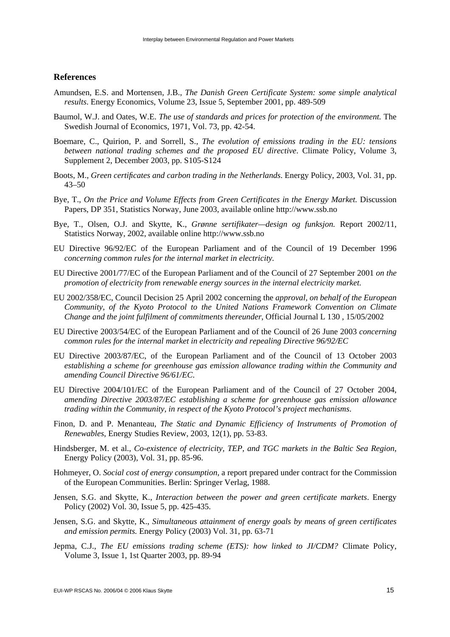## **References**

- Amundsen, E.S. and Mortensen, J.B., *The Danish Green Certificate System: some simple analytical results*. Energy Economics, Volume 23, Issue 5, September 2001, pp. 489-509
- Baumol, W.J. and Oates, W.E. *The use of standards and prices for protection of the environment.* The Swedish Journal of Economics, 1971, Vol. 73, pp. 42-54.
- Boemare, C., Quirion, P. and Sorrell, S., *The evolution of emissions trading in the EU: tensions between national trading schemes and the proposed EU directive*. Climate Policy, Volume 3, Supplement 2, December 2003, pp. S105-S124
- Boots, M., *Green certificates and carbon trading in the Netherlands*. Energy Policy, 2003, Vol. 31, pp. 43–50
- Bye, T., *On the Price and Volume Effects from Green Certificates in the Energy Market.* Discussion Papers, DP 351, Statistics Norway, June 2003, available online http://www.ssb.no
- Bye, T., Olsen, O.J. and Skytte, K., *Grønne sertifikater—design og funksjon.* Report 2002/11, Statistics Norway, 2002, available online http://www.ssb.no
- EU Directive 96/92/EC of the European Parliament and of the Council of 19 December 1996 *concerning common rules for the internal market in electricity.*
- EU Directive 2001/77/EC of the European Parliament and of the Council of 27 September 2001 *on the promotion of electricity from renewable energy sources in the internal electricity market.*
- EU 2002/358/EC, Council Decision 25 April 2002 concerning the *approval, on behalf of the European Community, of the Kyoto Protocol to the United Nations Framework Convention on Climate Change and the joint fulfilment of commitments thereunder*, Official Journal L 130 , 15/05/2002
- EU Directive 2003/54/EC of the European Parliament and of the Council of 26 June 2003 *concerning common rules for the internal market in electricity and repealing Directive 96/92/EC*
- EU Directive 2003/87/EC, of the European Parliament and of the Council of 13 October 2003 *establishing a scheme for greenhouse gas emission allowance trading within the Community and amending Council Directive 96/61/EC*.
- EU Directive 2004/101/EC of the European Parliament and of the Council of 27 October 2004, *amending Directive 2003/87/EC establishing a scheme for greenhouse gas emission allowance trading within the Community, in respect of the Kyoto Protocol's project mechanisms*.
- Finon, D. and P. Menanteau, *The Static and Dynamic Efficiency of Instruments of Promotion of Renewables*, Energy Studies Review, 2003, 12(1), pp. 53-83.
- Hindsberger, M. et al., *Co-existence of electricity, TEP, and TGC markets in the Baltic Sea Region*, Energy Policy (2003), Vol. 31, pp. 85-96.
- Hohmeyer, O. *Social cost of energy consumption*, a report prepared under contract for the Commission of the European Communities. Berlin: Springer Verlag, 1988.
- Jensen, S.G. and Skytte, K., *Interaction between the power and green certificate markets*. Energy Policy (2002) Vol. 30, Issue 5, pp. 425-435.
- Jensen, S.G. and Skytte, K., *Simultaneous attainment of energy goals by means of green certificates and emission permits.* Energy Policy (2003) Vol. 31, pp. 63-71
- Jepma, C.J., *The EU emissions trading scheme (ETS): how linked to JI/CDM?* Climate Policy, Volume 3, Issue 1, 1st Quarter 2003, pp. 89-94